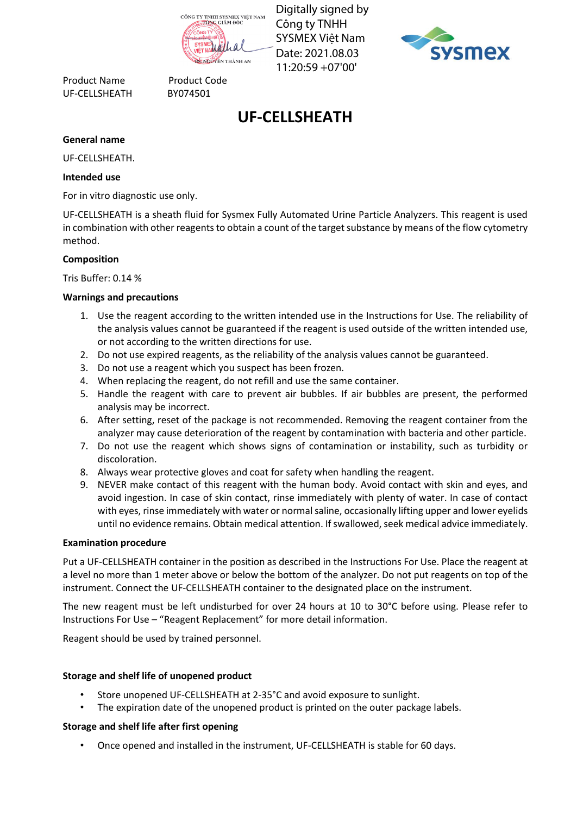Công ty TNHH SYSMEX Việt Nam Date: 2021.08.03 11:20:59 +07'00'



Product Name Product Code UF-CELLSHEATH BY074501

# **UF-CELLSHEATH**

#### **General name**

UF-CELLSHEATH.

#### **Intended use**

For in vitro diagnostic use only.

UF-CELLSHEATH is a sheath fluid for Sysmex Fully Automated Urine Particle Analyzers. This reagent is used in combination with other reagents to obtain a count of the target substance by means of the flow cytometry method.

#### **Composition**

Tris Buffer: 0.14 %

## **Warnings and precautions**

- 1. Use the reagent according to the written intended use in the Instructions for Use. The reliability of the analysis values cannot be guaranteed if the reagent is used outside of the written intended use, or not according to the written directions for use.
- 2. Do not use expired reagents, as the reliability of the analysis values cannot be guaranteed.
- 3. Do not use a reagent which you suspect has been frozen.
- 4. When replacing the reagent, do not refill and use the same container.
- 5. Handle the reagent with care to prevent air bubbles. If air bubbles are present, the performed analysis may be incorrect.
- 6. After setting, reset of the package is not recommended. Removing the reagent container from the analyzer may cause deterioration of the reagent by contamination with bacteria and other particle.
- 7. Do not use the reagent which shows signs of contamination or instability, such as turbidity or discoloration.
- 8. Always wear protective gloves and coat for safety when handling the reagent.
- 9. NEVER make contact of this reagent with the human body. Avoid contact with skin and eyes, and avoid ingestion. In case of skin contact, rinse immediately with plenty of water. In case of contact with eyes, rinse immediately with water or normal saline, occasionally lifting upper and lower eyelids until no evidence remains. Obtain medical attention. If swallowed, seek medical advice immediately. • Concerne and interest in the installed in the installed in the instrument of the installed in the instrument of the instrument (UF-CELLSHEATH real manne  $\frac{1}{2}$  and the installed in the instrument of the installed int

#### **Examination procedure**

Put a UF-CELLSHEATH container in the position as described in the Instructions For Use. Place the reagent at a level no more than 1 meter above or below the bottom of the analyzer. Do not put reagents on top of the instrument. Connect the UF-CELLSHEATH container to the designated place on the instrument.

The new reagent must be left undisturbed for over 24 hours at 10 to 30°C before using. Please refer to Instructions For Use – "Reagent Replacement" for more detail information.

Reagent should be used by trained personnel.

## **Storage and shelf life of unopened product**

- Store unopened UF-CELLSHEATH at 2-35°C and avoid exposure to sunlight.
- The expiration date of the unopened product is printed on the outer package labels.

## **Storage and shelf life after first opening**